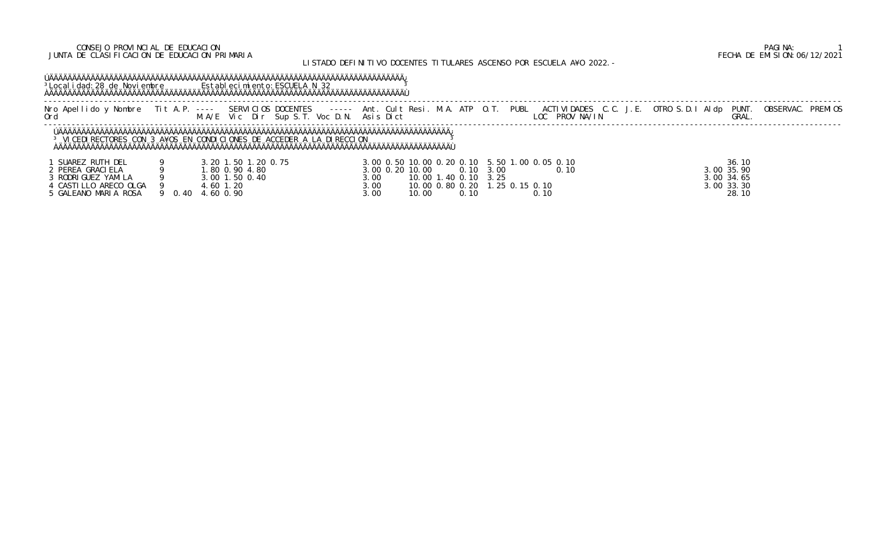## CONSEJO PROVINCIAL DE EDUCACION PAGINA: 1 JUNTA DE CLASIFICACION DE EDUCACION PRIMARIA FECHA DE EMISION:06/12/2021

# LISTADO DEFINITIVO DOCENTES TITULARES ASCENSO POR ESCUELA A¥O 2022.-

# ÚÄÄÄÄÄÄÄÄÄÄÄÄÄÄÄÄÄÄÄÄÄÄÄÄÄÄÄÄÄÄÄÄÄÄÄÄÄÄÄÄÄÄÄÄÄÄÄÄÄÄÄÄÄÄÄÄÄÄÄÄÄÄÄÄÄÄÄÄÄÄÄÄÄÄÄÄÄ¿ <sup>3</sup>Localidad:28 de Noviembre Establecimiento:ESCUELA N 32 3 ÀÄÄÄÄÄÄÄÄÄÄÄÄÄÄÄÄÄÄÄÄÄÄÄÄÄÄÄÄÄÄÄÄÄÄÄÄÄÄÄÄÄÄÄÄÄÄÄÄÄÄÄÄÄÄÄÄÄÄÄÄÄÄÄÄÄÄÄÄÄÄÄÄÄÄÄÄÄÙ

 ----------------------------------------------------------------------------------------------------------------------------------------------------------------------------- Nro Apellido y Nombre Tit A.P. ---- SERVICIOS DOCENTES ----- Ant. Cult Resi. M.A. ATP O.T. PUBL ACTIVIDADES C.C. J.E. OTRO S.D.I Aldp PUNT. OBSERVAC. PREMIOS Ord M.A/E Vic Dir Sup S.T. Voc D.N. Asis Dict LOC PROV NA/IN GRAL. -----------------------------------------------------------------------------------------------------------------------------------------------------------------------------

 ÚÄÄÄÄÄÄÄÄÄÄÄÄÄÄÄÄÄÄÄÄÄÄÄÄÄÄÄÄÄÄÄÄÄÄÄÄÄÄÄÄÄÄÄÄÄÄÄÄÄÄÄÄÄÄÄÄÄÄÄÄÄÄÄÄÄÄÄÄÄÄÄÄÄÄÄÄÄÄÄÄÄÄÄÄÄ¿ <sup>3</sup> VICEDIRECTORES CON 3 A¥OS EN CONDICIONES DE ACCEDER A LA DIRECCION <sup>3</sup> ÀÄÄÄÄÄÄÄÄÄÄÄÄÄÄÄÄÄÄÄÄÄÄÄÄÄÄÄÄÄÄÄÄÄÄÄÄÄÄÄÄÄÄÄÄÄÄÄÄÄÄÄÄÄÄÄÄÄÄÄÄÄÄÄÄÄÄÄÄÄÄÄÄÄÄÄÄÄÄÄÄÄÄÄÄÄÙ

| SUAREZ RUTH DEL       |        |                |                    |               | 3.00 0.50 10.00 0.20 0.10 5.50 1.00 0.05 0.10 |           | 36.10          |
|-----------------------|--------|----------------|--------------------|---------------|-----------------------------------------------|-----------|----------------|
| PEREA GRACIELA        |        | .80 0.90 4.80  | 3, 00 0, 20 10, 00 |               | 0.10 3.00                                     | <b>10</b> | 3.00 35.90     |
| RODRI GUEZ YAMI LA    |        | 3.00 1.50 0.40 | 3.00               | 10.001        | $1.40$ 0.10 3.25                              |           | 3.00 34.65     |
| 4 CASTILLO ARECO OLGA |        | 4.60 1.20      | 3.00               |               | 10.00 0.80 0.20 1.25 0.15 0.10                |           | $3.00$ $33.30$ |
| 5 GALEANO MARIA ROSA  | 9 0.40 | 4.60 0.90      | 3.00               | 10.00<br>0.10 |                                               |           | 28.10          |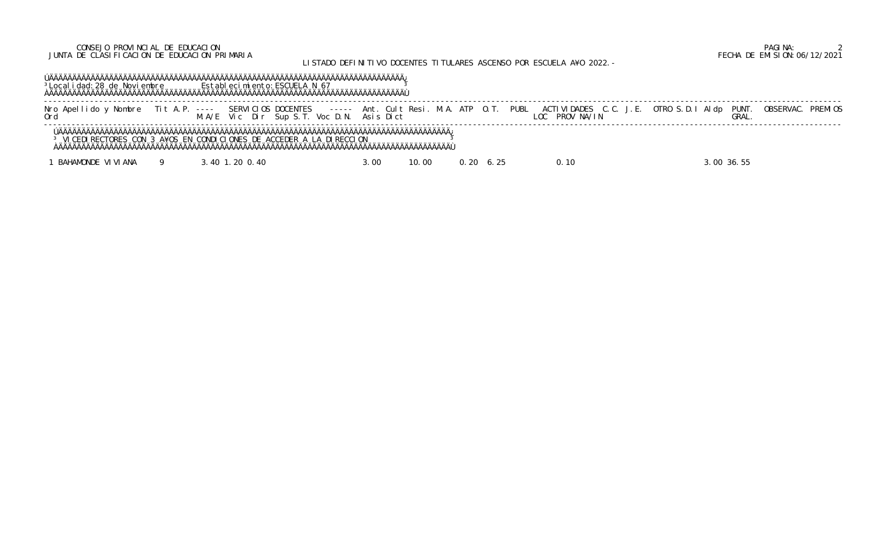# CONSEJO PROVINCIAL DE EDUCACION PAGINA: 2 JUNTA DE CLASIFICACION DE EDUCACION PRIMARIA FECHA DE EMISION:06/12/2021

# LISTADO DEFINITIVO DOCENTES TITULARES ASCENSO POR ESCUELA A¥O 2022.-

 ÚÄÄÄÄÄÄÄÄÄÄÄÄÄÄÄÄÄÄÄÄÄÄÄÄÄÄÄÄÄÄÄÄÄÄÄÄÄÄÄÄÄÄÄÄÄÄÄÄÄÄÄÄÄÄÄÄÄÄÄÄÄÄÄÄÄÄÄÄÄÄÄÄÄÄÄÄÄ¿ <sup>3</sup>Localidad:28 de Noviembre Establecimiento:ESCUELA N 67 <sup>3</sup> ÀÄÄÄÄÄÄÄÄÄÄÄÄÄÄÄÄÄÄÄÄÄÄÄÄÄÄÄÄÄÄÄÄÄÄÄÄÄÄÄÄÄÄÄÄÄÄÄÄÄÄÄÄÄÄÄÄÄÄÄÄÄÄÄÄÄÄÄÄÄÄÄÄÄÄÄÄÄÙ

 ----------------------------------------------------------------------------------------------------------------------------------------------------------------------------- Nro Apellido y Nombre Tit A.P. ---- SERVICIOS DOCENTES ----- Ant. Cult Resi. M.A. ATP O.T. PUBL ACTIVIDADES C.C. J.E. OTRO S.D.I Aldp PUNT. OBSERVAC. PREMIOS Ord M.A/E Vic Dir Sup S.T. Voc D.N. Asis Dict LOC PROV NA/IN GRAL. -----------------------------------------------------------------------------------------------------------------------------------------------------------------------------

 ÚÄÄÄÄÄÄÄÄÄÄÄÄÄÄÄÄÄÄÄÄÄÄÄÄÄÄÄÄÄÄÄÄÄÄÄÄÄÄÄÄÄÄÄÄÄÄÄÄÄÄÄÄÄÄÄÄÄÄÄÄÄÄÄÄÄÄÄÄÄÄÄÄÄÄÄÄÄÄÄÄÄÄÄÄÄ¿ <sup>3</sup> VICEDIRECTORES CON 3 A¥OS EN CONDICIONES DE ACCEDER A LA DIRECCION <sup>3</sup> ÀÄÄÄÄÄÄÄÄÄÄÄÄÄÄÄÄÄÄÄÄÄÄÄÄÄÄÄÄÄÄÄÄÄÄÄÄÄÄÄÄÄÄÄÄÄÄÄÄÄÄÄÄÄÄÄÄÄÄÄÄÄÄÄÄÄÄÄÄÄÄÄÄÄÄÄÄÄÄÄÄÄÄÄÄÄÙ

1 BAHAMONDE VIVIANA 9 3.40 1.20 0.40 3.00 10.00 0.20 6.25 0.10 3.00 36.55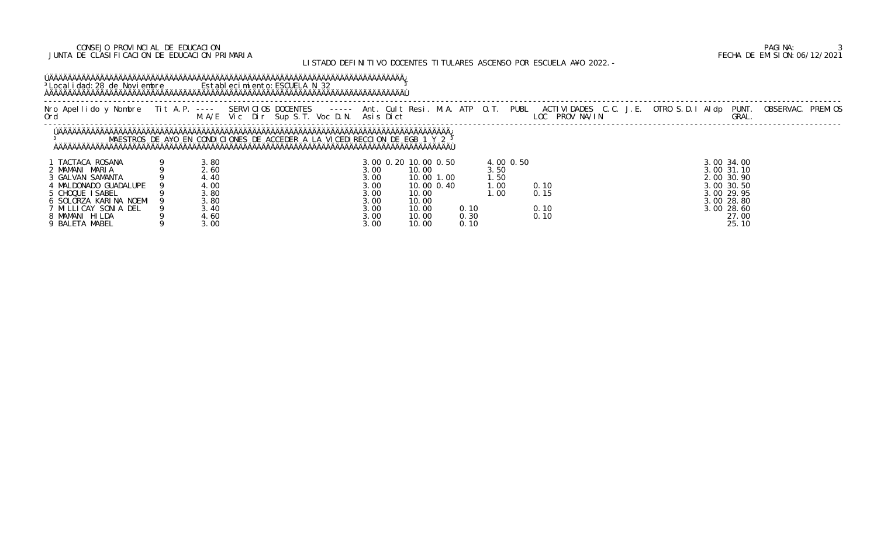## CONSEJO PROVINCIAL DE EDUCACION PAGINA: 3 JUNTA DE CLASIFICACION DE EDUCACION PRIMARIA FECHA DE EMISION:06/12/2021

# LISTADO DEFINITIVO DOCENTES TITULARES ASCENSO POR ESCUELA A¥O 2022.-

# ÚÄÄÄÄÄÄÄÄÄÄÄÄÄÄÄÄÄÄÄÄÄÄÄÄÄÄÄÄÄÄÄÄÄÄÄÄÄÄÄÄÄÄÄÄÄÄÄÄÄÄÄÄÄÄÄÄÄÄÄÄÄÄÄÄÄÄÄÄÄÄÄÄÄÄÄÄÄ¿ <sup>3</sup>Localidad:28 de Noviembre Establecimiento:ESCUELA N 32 3 ÀÄÄÄÄÄÄÄÄÄÄÄÄÄÄÄÄÄÄÄÄÄÄÄÄÄÄÄÄÄÄÄÄÄÄÄÄÄÄÄÄÄÄÄÄÄÄÄÄÄÄÄÄÄÄÄÄÄÄÄÄÄÄÄÄÄÄÄÄÄÄÄÄÄÄÄÄÄÙ

|                                                                               |                               | M.A/E Vic Dir Sup S.T. Voc D.N. Asis Dict                                   |      |                                                                  |                           |           | Nro Apellido y Nombre Tit A.P. ---- SERVICIOS DOCENTES ----- Ant. Cult Resi. M.A. ATP O.T. PUBL ACTIVIDADES C.C. J.E. OTRO S.D.I Aldp PUNT.<br>LOC PROV NA/IN |                                                      | OBSERVAC. PREMIOS<br>GRAL. |  |
|-------------------------------------------------------------------------------|-------------------------------|-----------------------------------------------------------------------------|------|------------------------------------------------------------------|---------------------------|-----------|---------------------------------------------------------------------------------------------------------------------------------------------------------------|------------------------------------------------------|----------------------------|--|
|                                                                               |                               | MAESTROS DE A¥O EN CONDICIONES DE ACCEDER A LA VICEDIRECCION DE EGB 1 Y 2 3 |      |                                                                  |                           |           |                                                                                                                                                               |                                                      |                            |  |
| TACTACA ROSANA<br>2 MAMANI MARIA<br>3 GALVAN SAMANTA<br>4 MALDONADO GUADALUPE | 3. RC<br>2.60<br>4.40<br>. OC |                                                                             | . OC | 8.00  0.20  10.00  0.50<br>10.00<br>10.001<br>. 00<br>10.00 0.40 | 3. 5C<br>. . 50<br>. . 00 | 4.00 0.50 | 0.10                                                                                                                                                          | 3.00 34.00<br>3,00 31,10<br>2.00 30.90<br>8.00 30.50 |                            |  |

| CHOQUE ISABEL        | 3.80 | 3.00 | 10.00 | .00  |      | 3.00 29.95 |
|----------------------|------|------|-------|------|------|------------|
| SOLORZA KARINA NOEMI | .80  | 3.00 | 10.00 |      |      | 3.00 28.80 |
| MILLICAY SONIA DEL   | . 40 | 3.00 | 10.00 | 0.10 | 0.10 | 3.00 28.60 |
| MAMANI<br>HI LDA     | 4.60 | 3.00 | 10.00 | 0.30 | 0.10 | 27.00      |
| MABEL<br>9 BALETA    | . 00 | 3.00 | 10.00 | 0.10 |      | 25.10      |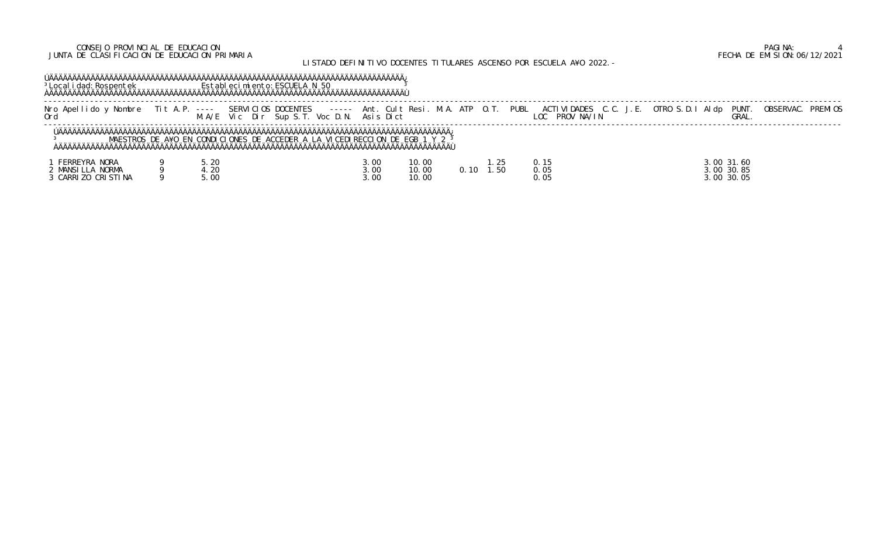## CONSEJO PROVINCIAL DE EDUCACION PAGINA: 4 JUNTA DE CLASIFICACION DE EDUCACION PRIMARIA FECHA DE EMISION:06/12/2021

# LISTADO DEFINITIVO DOCENTES TITULARES ASCENSO POR ESCUELA A¥O 2022.-

# ÚÄÄÄÄÄÄÄÄÄÄÄÄÄÄÄÄÄÄÄÄÄÄÄÄÄÄÄÄÄÄÄÄÄÄÄÄÄÄÄÄÄÄÄÄÄÄÄÄÄÄÄÄÄÄÄÄÄÄÄÄÄÄÄÄÄÄÄÄÄÄÄÄÄÄÄÄÄ¿ <sup>3</sup>Localidad:Rospentek Establecimiento:ESCUELA N 50 <sup>3</sup> ÀÄÄÄÄÄÄÄÄÄÄÄÄÄÄÄÄÄÄÄÄÄÄÄÄÄÄÄÄÄÄÄÄÄÄÄÄÄÄÄÄÄÄÄÄÄÄÄÄÄÄÄÄÄÄÄÄÄÄÄÄÄÄÄÄÄÄÄÄÄÄÄÄÄÄÄÄÄÙ

3 MAESTROS DE A¥O EN CONDICIONES DE ACCEDER A LA VICEDIRECCION DE EGB 1 Y 2 <sup>3</sup> ÀÄÄÄÄÄÄÄÄÄÄÄÄÄÄÄÄÄÄÄÄÄÄÄÄÄÄÄÄÄÄÄÄÄÄÄÄÄÄÄÄÄÄÄÄÄÄÄÄÄÄÄÄÄÄÄÄÄÄÄÄÄÄÄÄÄÄÄÄÄÄÄÄÄÄÄÄÄÄÄÄÄÄÄÄÄÙ

| Nombre<br>-Ane<br>do | $\frac{1}{2} \frac{1}{2} \frac{1}{2} \frac{1}{2} \frac{1}{2} \frac{1}{2} \frac{1}{2} \frac{1}{2} \frac{1}{2} \frac{1}{2} \frac{1}{2} \frac{1}{2} \frac{1}{2} \frac{1}{2} \frac{1}{2} \frac{1}{2} \frac{1}{2} \frac{1}{2} \frac{1}{2} \frac{1}{2} \frac{1}{2} \frac{1}{2} \frac{1}{2} \frac{1}{2} \frac{1}{2} \frac{1}{2} \frac{1}{2} \frac{1}{2} \frac{1}{2} \frac{1}{2} \frac{1}{2} \frac{$ | SERVICIOS DOCENTES<br>-------         | M. A.<br>ATP<br>lt Resi<br>Ant<br>- 6111 | PUBL<br>DADES<br>ACTI VI I | <b>PREMIOS</b><br><b>PUNT</b><br><b>OBSERVAL</b><br>OTRO S.D.<br>AI do |
|----------------------|----------------------------------------------------------------------------------------------------------------------------------------------------------------------------------------------------------------------------------------------------------------------------------------------------------------------------------------------------------------------------------------------|---------------------------------------|------------------------------------------|----------------------------|------------------------------------------------------------------------|
| Orr                  | A/F                                                                                                                                                                                                                                                                                                                                                                                          | Voc<br>Dir<br>$Vi \subset$<br>Sup S.T | Di ct<br>Δci                             | NA/IN<br><b>PROV</b>       | GRAL                                                                   |
|                      |                                                                                                                                                                                                                                                                                                                                                                                              |                                       |                                          |                            |                                                                        |
|                      |                                                                                                                                                                                                                                                                                                                                                                                              |                                       |                                          |                            |                                                                        |

| FERREYRA NORA    | .20 | 3.00 | 10.00 | $\sim$ $\sim$<br>ب 2. .         |                                      | 3.00 31.60    |
|------------------|-----|------|-------|---------------------------------|--------------------------------------|---------------|
| MANSILLA NORMA   | .20 | 3.00 | 10.00 | .50<br>$0_{-}$<br><sup>10</sup> | $\sim$ $\sim$ $\sim$<br><b>U. U.</b> | 30.85<br>3.00 |
| CARRIZO CRISTINA | .00 | 3.00 | 10.00 |                                 | $\sim$ $\sim$ $\sim$<br>U. U.        | 30.05<br>3.00 |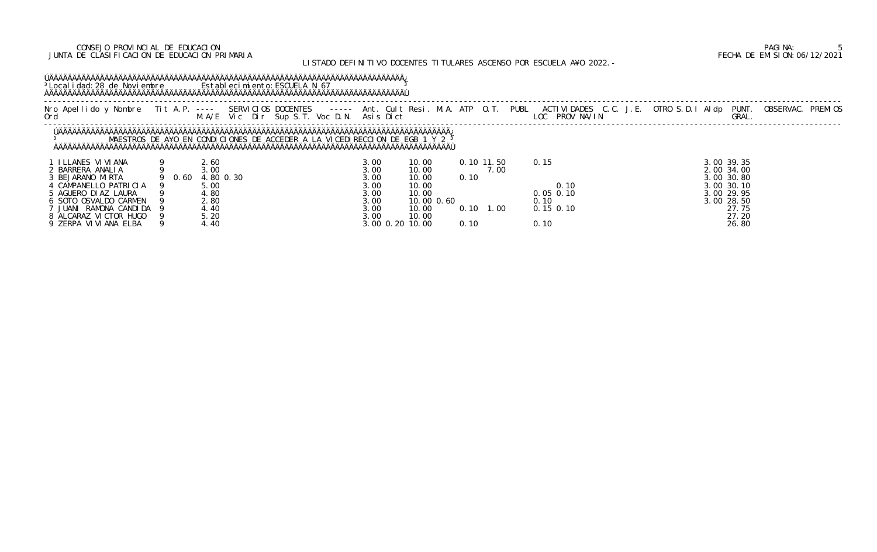## CONSEJO PROVINCIAL DE EDUCACION PAGINA: 5 JUNTA DE CLASIFICACION DE EDUCACION PRIMARIA FECHA DE EMISION:06/12/2021

# LISTADO DEFINITIVO DOCENTES TITULARES ASCENSO POR ESCUELA A¥O 2022.-

# ÚÄÄÄÄÄÄÄÄÄÄÄÄÄÄÄÄÄÄÄÄÄÄÄÄÄÄÄÄÄÄÄÄÄÄÄÄÄÄÄÄÄÄÄÄÄÄÄÄÄÄÄÄÄÄÄÄÄÄÄÄÄÄÄÄÄÄÄÄÄÄÄÄÄÄÄÄÄ¿ <sup>3</sup>Localidad:28 de Noviembre Establecimiento:ESCUELA N 67 <sup>3</sup> ÀÄÄÄÄÄÄÄÄÄÄÄÄÄÄÄÄÄÄÄÄÄÄÄÄÄÄÄÄÄÄÄÄÄÄÄÄÄÄÄÄÄÄÄÄÄÄÄÄÄÄÄÄÄÄÄÄÄÄÄÄÄÄÄÄÄÄÄÄÄÄÄÄÄÄÄÄÄÙ

|                        |        |           |                                                                             |                 |            |                   |      | Nro Apellido y Nombre Tit A.P. ---- SERVICIOS DOCENTES   ----- Ant. Cult Resi. M.A. ATP O.T. PUBL ACTIVIDADES C.C. J.E. OTRO S.D.I Aldp PUNT.<br>Ord                          M.A/E Vic Dir Sup S.T. Voc D.N. Asis Dict |            | OBSERVAC. PREMIOS |
|------------------------|--------|-----------|-----------------------------------------------------------------------------|-----------------|------------|-------------------|------|-------------------------------------------------------------------------------------------------------------------------------------------------------------------------------------------------------------------------|------------|-------------------|
|                        |        |           |                                                                             |                 |            |                   |      |                                                                                                                                                                                                                         |            |                   |
|                        |        |           | MAESTROS DE A¥O EN CONDICIONES DE ACCEDER A LA VICEDIRECCION DE EGB 1 Y 2 3 |                 |            |                   |      |                                                                                                                                                                                                                         |            |                   |
| 1 I LLANES VI VI ANA   |        | 2.60      |                                                                             | 3.00            | 10.00      | 0.10 11.50        |      | 0.15                                                                                                                                                                                                                    | 3.00 39.35 |                   |
| 2 BARRERA ANALIA       |        | 3.00      |                                                                             | 3.00            | 10.00      |                   | 7.00 |                                                                                                                                                                                                                         | 2.00 34.00 |                   |
| 3 BEJARANO MIRTA       | 9 0.60 | 4.80 0.30 |                                                                             | 3.00            | 10.00      | 0.10              |      |                                                                                                                                                                                                                         | 3.00 30.80 |                   |
| 4 CAMPANELLO PATRICIA  |        | 5.00      |                                                                             | 3.00            | 10.00      |                   |      | 0.10                                                                                                                                                                                                                    | 3.00 30.10 |                   |
| 5 AGUERO DIAZ LAURA    |        | 4.80      |                                                                             | 3.00            | 10.00      |                   |      | $0.05$ $0.10$                                                                                                                                                                                                           | 3.00 29.95 |                   |
| 6 SOTO OSVALDO CARMEN  |        | 2.80      |                                                                             | 3.00            | 10.00 0.60 |                   |      | 0.10                                                                                                                                                                                                                    | 3.00 28.50 |                   |
| 7 JUANI RAMONA CANDIDA |        | 4.40      |                                                                             | 3.00            | 10.00      | $0.10 \quad 1.00$ |      | $0.15$ $0.10$                                                                                                                                                                                                           | 27.75      |                   |
| 8 ALCARAZ VICTOR HUGO  |        | 5.20      |                                                                             | 3.00            | 10.00      |                   |      |                                                                                                                                                                                                                         | 27.20      |                   |
| 9 ZERPA VI VI ANA ELBA |        | 4.40      |                                                                             | 3.00 0.20 10.00 |            | 0.10              |      | 0.10                                                                                                                                                                                                                    | 26.80      |                   |